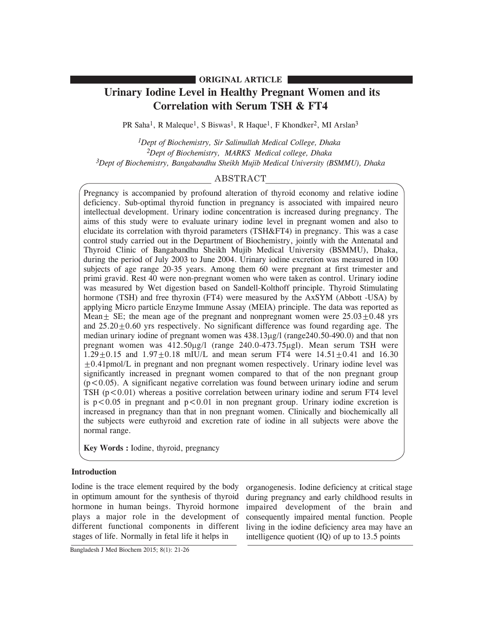## **ORIGINAL ARTICLE**

# **Urinary Iodine Level in Healthy Pregnant Women and its Correlation with Serum TSH & FT4**

PR Saha<sup>1</sup>, R Maleque<sup>1</sup>, S Biswas<sup>1</sup>, R Haque<sup>1</sup>, F Khondker<sup>2</sup>, MI Arslan<sup>3</sup>

*1Dept of Biochemistry, Sir Salimullah Medical College, Dhaka 2Dept of Biochemistry, MARKS Medical college, Dhaka 3Dept of Biochemistry, Bangabandhu Sheikh Mujib Medical University (BSMMU), Dhaka*

## ABSTRACT

Pregnancy is accompanied by profound alteration of thyroid economy and relative iodine deficiency. Sub-optimal thyroid function in pregnancy is associated with impaired neuro intellectual development. Urinary iodine concentration is increased during pregnancy. The aims of this study were to evaluate urinary iodine level in pregnant women and also to elucidate its correlation with thyroid parameters (TSH&FT4) in pregnancy. This was a case control study carried out in the Department of Biochemistry, jointly with the Antenatal and Thyroid Clinic of Bangabandhu Sheikh Mujib Medical University (BSMMU), Dhaka, during the period of July 2003 to June 2004. Urinary iodine excretion was measured in 100 subjects of age range 20-35 years. Among them 60 were pregnant at first trimester and primi gravid. Rest 40 were non-pregnant women who were taken as control. Urinary iodine was measured by Wet digestion based on Sandell-Kolthoff principle. Thyroid Stimulating hormone (TSH) and free thyroxin (FT4) were measured by the AxSYM (Abbott -USA) by applying Micro particle Enzyme Immune Assay (MEIA) principle. The data was reported as Mean $\pm$  SE; the mean age of the pregnant and nonpregnant women were  $25.03\pm0.48$  yrs and  $25.20 \pm 0.60$  yrs respectively. No significant difference was found regarding age. The median urinary iodine of pregnant women was 438.13µg/l (range240.50-490.0) and that non pregnant women was  $412.50\mu g/l$  (range  $240.0-473.75\mu g/l$ ). Mean serum TSH were  $1.29 \pm 0.15$  and  $1.97 \pm 0.18$  mIU/L and mean serum FT4 were  $14.51 \pm 0.41$  and 16.30  $\pm 0.41$ pmol/L in pregnant and non pregnant women respectively. Urinary iodine level was significantly increased in pregnant women compared to that of the non pregnant group  $(p<0.05)$ . A significant negative correlation was found between urinary iodine and serum TSH  $(p<0.01)$  whereas a positive correlation between urinary iodine and serum FT4 level is  $p < 0.05$  in pregnant and  $p < 0.01$  in non pregnant group. Urinary iodine excretion is increased in pregnancy than that in non pregnant women. Clinically and biochemically all the subjects were euthyroid and excretion rate of iodine in all subjects were above the normal range.

**Key Words :** Iodine, thyroid, pregnancy

## **Introduction**

Iodine is the trace element required by the body in optimum amount for the synthesis of thyroid hormone in human beings. Thyroid hormone plays a major role in the development of different functional components in different stages of life. Normally in fetal life it helps in

organogenesis. Iodine deficiency at critical stage during pregnancy and early childhood results in impaired development of the brain and consequently impaired mental function. People living in the iodine deficiency area may have an intelligence quotient (IQ) of up to 13.5 points

Bangladesh J Med Biochem 2015; 8(1): 21-26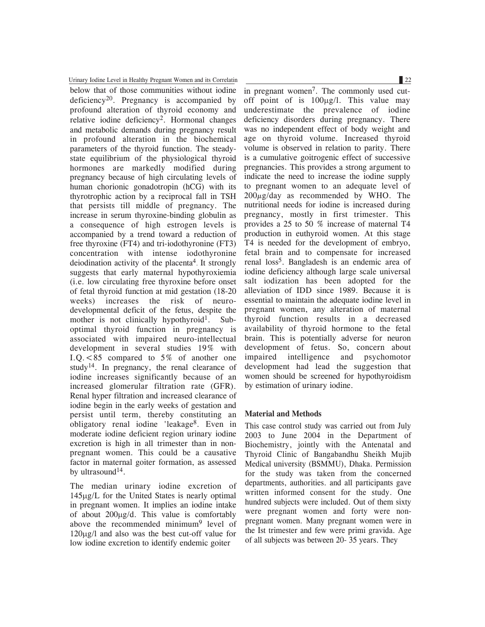Urinary Iodine Level in Healthy Pregnant Women and its Correlatin 22

below that of those communities without iodine deficiency<sup>20</sup>. Pregnancy is accompanied by profound alteration of thyroid economy and relative iodine deficiency2. Hormonal changes and metabolic demands during pregnancy result in profound alteration in the biochemical parameters of the thyroid function. The steadystate equilibrium of the physiological thyroid hormones are markedly modified during pregnancy because of high circulating levels of human chorionic gonadotropin (hCG) with its thyrotrophic action by a reciprocal fall in TSH that persists till middle of pregnancy. The increase in serum thyroxine-binding globulin as a consequence of high estrogen levels is accompanied by a trend toward a reduction of free thyroxine (FT4) and tri-iodothyronine (FT3) concentration with intense iodothyronine deiodination activity of the placenta<sup>4</sup>. It strongly suggests that early maternal hypothyroxiemia (i.e. low circulating free thyroxine before onset of fetal thyroid function at mid gestation (18-20 weeks) increases the risk of neurodevelopmental deficit of the fetus, despite the mother is not clinically hypothyroid<sup>1</sup>. Suboptimal thyroid function in pregnancy is associated with impaired neuro-intellectual development in several studies 19% with I.Q.<85 compared to 5% of another one study<sup>14</sup>. In pregnancy, the renal clearance of iodine increases significantly because of an increased glomerular filtration rate (GFR). Renal hyper filtration and increased clearance of iodine begin in the early weeks of gestation and persist until term, thereby constituting an obligatory renal iodine 'leakage8. Even in moderate iodine deficient region urinary iodine excretion is high in all trimester than in nonpregnant women. This could be a causative factor in maternal goiter formation, as assessed by ultrasound<sup>14</sup>.

The median urinary iodine excretion of  $145\mu g/L$  for the United States is nearly optimal in pregnant women. It implies an iodine intake of about 200mg/d. This value is comfortably above the recommended minimum<sup>9</sup> level of 120mg/l and also was the best cut-off value for low iodine excretion to identify endemic goiter

in pregnant women<sup>7</sup>. The commonly used cutoff point of is  $100\mu g/l$ . This value may underestimate the prevalence of iodine deficiency disorders during pregnancy. There was no independent effect of body weight and age on thyroid volume. Increased thyroid volume is observed in relation to parity. There is a cumulative goitrogenic effect of successive pregnancies. This provides a strong argument to indicate the need to increase the iodine supply to pregnant women to an adequate level of  $200\mu$ g/day as recommended by WHO. The nutritional needs for iodine is increased during pregnancy, mostly in first trimester. This provides a 25 to 50 % increase of maternal T4 production in euthyroid women. At this stage T4 is needed for the development of embryo, fetal brain and to compensate for increased renal loss5. Bangladesh is an endemic area of iodine deficiency although large scale universal salt iodization has been adopted for the alleviation of IDD since 1989. Because it is essential to maintain the adequate iodine level in pregnant women, any alteration of maternal thyroid function results in a decreased availability of thyroid hormone to the fetal brain. This is potentially adverse for neuron development of fetus. So, concern about impaired intelligence and psychomotor development had lead the suggestion that women should be screened for hypothyroidism by estimation of urinary iodine.

#### **Material and Methods**

This case control study was carried out from July 2003 to June 2004 in the Department of Biochemistry, jointly with the Antenatal and Thyroid Clinic of Bangabandhu Sheikh Mujib Medical university (BSMMU), Dhaka. Permission for the study was taken from the concerned departments, authorities. and all participants gave written informed consent for the study. One hundred subjects were included. Out of them sixty were pregnant women and forty were nonpregnant women. Many pregnant women were in the Ist trimester and few were primi gravida. Age of all subjects was between 20- 35 years. They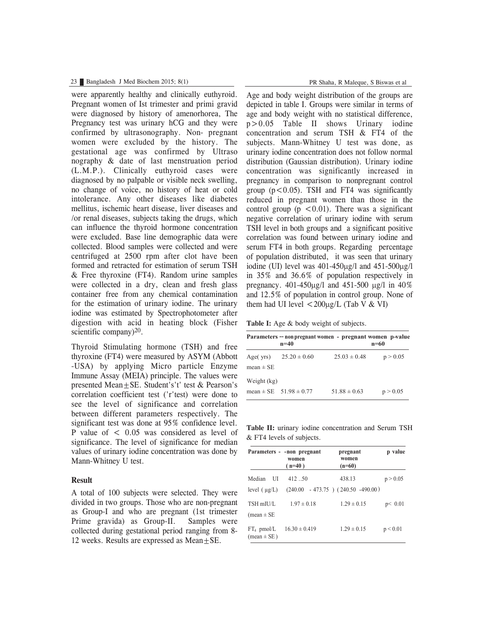#### 23 Bangladesh J Med Biochem 2015; 8(1) PR Shaha, R Maleque, S Biswas et al

were apparently healthy and clinically euthyroid. Pregnant women of Ist trimester and primi gravid were diagnosed by history of amenorhorea, The Pregnancy test was urinary hCG and they were confirmed by ultrasonography. Non- pregnant women were excluded by the history. The gestational age was confirmed by Ultraso nography & date of last menstruation period (L.M.P.). Clinically euthyroid cases were diagnosed by no palpable or visible neck swelling, no change of voice, no history of heat or cold intolerance. Any other diseases like diabetes mellitus, ischemic heart disease, liver diseases and /or renal diseases, subjects taking the drugs, which can influence the thyroid hormone concentration were excluded. Base line demographic data were collected. Blood samples were collected and were centrifuged at 2500 rpm after clot have been formed and retracted for estimation of serum TSH & Free thyroxine (FT4). Random urine samples were collected in a dry, clean and fresh glass container free from any chemical contamination for the estimation of urinary iodine. The urinary iodine was estimated by Spectrophotometer after digestion with acid in heating block (Fisher scientific company $)^{20}$ .

Thyroid Stimulating hormone (TSH) and free thyroxine (FT4) were measured by ASYM (Abbott -USA) by applying Micro particle Enzyme Immune Assay (MEIA) principle. The values were presented Mean±SE. Student's't' test & Pearson's correlation coefficient test ('r'test) were done to see the level of significance and correlation between different parameters respectively. The significant test was done at 95% confidence level. P value of  $\leq 0.05$  was considered as level of significance. The level of significance for median values of urinary iodine concentration was done by Mann-Whitney U test.

#### **Result**

A total of 100 subjects were selected. They were divided in two groups. Those who are non-pregnant as Group-I and who are pregnant (1st trimester Prime gravida) as Group-II. Samples were collected during gestational period ranging from 8- 12 weeks. Results are expressed as  $Mean \pm SE$ .

Age and body weight distribution of the groups are depicted in table I. Groups were similar in terms of age and body weight with no statistical difference, p>0.05 Table II shows Urinary iodine concentration and serum TSH & FT4 of the subjects. Mann-Whitney U test was done, as urinary iodine concentration does not follow normal distribution (Gaussian distribution). Urinary iodine concentration was significantly increased in pregnancy in comparison to nonpregnant control group  $(p<0.05)$ . TSH and FT4 was significantly reduced in pregnant women than those in the control group  $(p \le 0.01)$ . There was a significant negative correlation of urinary iodine with serum TSH level in both groups and a significant positive correlation was found between urinary iodine and serum FT4 in both groups. Regarding percentage of population distributed, it was seen that urinary iodine (UI) level was  $401-450\mu\text{g}/l$  and  $451-500\mu\text{g}/l$ in 35% and 36.6% of population respectively in pregnancy.  $401-450\mu g/l$  and  $451-500 \mu g/l$  in  $40\%$ and 12.5% of population in control group. None of them had UI level  $\langle 200 \mu g/L \rangle$  (Tab V & VI)

**Table I:** Age & body weight of subjects.

| Parameters -- non pregnant women - pregnant women p-value<br>$n=40$<br>n=60 |                                |                  |          |
|-----------------------------------------------------------------------------|--------------------------------|------------------|----------|
| Age $(yrs)$<br>$mean \pm SE$                                                | $25.20 \pm 0.60$               | $25.03 \pm 0.48$ | p > 0.05 |
| Weight (kg)                                                                 | mean $\pm$ SE 51.98 $\pm$ 0.77 | $51.88 \pm 0.63$ | p > 0.05 |

**Table II:** urinary iodine concentration and Serum TSH & FT4 levels of subjects.

|                                  | Parameters - - non pregnant<br>women<br>$(n=40)$ | pregnant<br>women<br>$(n=60)$         | p value  |
|----------------------------------|--------------------------------------------------|---------------------------------------|----------|
| Median<br>U                      | 412.50                                           | 438.13                                | p > 0.05 |
| level $(\mu g/L)$                |                                                  | $(240.00 - 473.75) (240.50 - 490.00)$ |          |
| TSH mIU/L<br>(mean $\pm$ SE      | $1.97 \pm 0.18$                                  | $1.29 \pm 0.15$                       | p < 0.01 |
| $FT_4$ pmol/L<br>$mean \pm SE$ ) | $16.30 \pm 0.419$                                | $1.29 \pm 0.15$                       | p < 0.01 |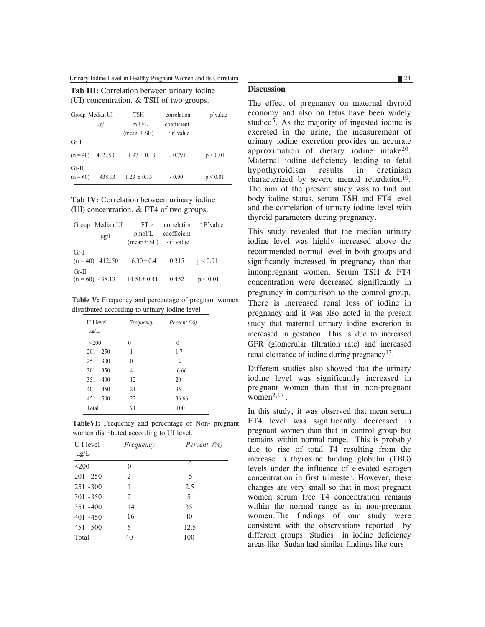Urinary Iodine Level in Healthy Pregnant Women and its Correlatin 24

| $(01)$ concentration. $\alpha$ is the $01$ two groups. |           |                     |                            |          |
|--------------------------------------------------------|-----------|---------------------|----------------------------|----------|
| Group Median UI                                        | $\mu$ g/L | <b>TSH</b><br>mIU/L | correlation<br>coefficient | 'p'value |
|                                                        |           | $mean \pm SE$       | ' r' value                 |          |
| $Gr-I$                                                 |           |                     |                            |          |
| $(n = 40)$                                             | 412.50    | $1.97 \pm 0.18$     | $-0.791$                   | p < 0.01 |
| $Gr-II$<br>$(n = 60)$                                  | 438.13    | $1.29 \pm 0.15$     | $-0.90$                    | p < 0.01 |

**Tab III:** Correlation between urinary iodine

(UI) concentration.  $\&$  TSH of two groups.

**Tab IV:** Correlation between urinary iodine (UI) concentration. & FT4 of two groups.

|         | Group Median UI<br>$\mu$ g/L | $FT_4$<br>pmol/L<br>$(\text{mean} \pm \text{SE})$ $\cdot$ r' value | correlation<br>coefficient | <i>'</i> P'value |
|---------|------------------------------|--------------------------------------------------------------------|----------------------------|------------------|
| $Gr-I$  | $(n = 40)$ 412.50            | $16.30 \pm 0.41$                                                   | 0.315                      | p < 0.01         |
| $Gr-II$ | $(n = 60)$ 438.13            | $14.51 \pm 0.41$                                                   | 0.452                      | p < 0.01         |

**Table V:** Frequency and percentage of pregnant women distributed according to urinary iodine level

| U I level<br>$\mu$ g/L | Frequency | Percent (%) |
|------------------------|-----------|-------------|
| $<$ 200                | 0         | $\theta$    |
| $201 - 250$            | 1         | 1.7         |
| $251 - 300$            | $\theta$  | $\theta$    |
| $301 - 350$            | 4         | 6.66        |
| $351 - 400$            | 12        | 20          |
| $401 - 450$            | 21        | 35          |
| $451 - 500$            | 22        | 36.66       |
| Total                  | 60        | 100         |

**TableVI:** Frequency and percentage of Non- pregnant women distributed according to UI level.

| U I level<br>$\mu g/L$ | Frequency | Percent $(\%)$ |
|------------------------|-----------|----------------|
| $<$ 200                | 0         | 0              |
| $201 - 250$            | 2         | 5              |
| $251 - 300$            | 1         | 2.5            |
| $301 - 350$            | 2         | 5              |
| $351 - 400$            | 14        | 35             |
| $401 - 450$            | 16        | 40             |
| $451 - 500$            | 5         | 12.5           |
| Total                  | 40        | 100            |

## **Discussion**

The effect of pregnancy on maternal thyroid economy and also on fetus have been widely studied<sup>5</sup>. As the majority of ingested iodine is excreted in the urine, the measurement of urinary iodine excretion provides an accurate approximation of dietary iodine intake20. Maternal iodine deficiency leading to fetal hypothyroidism results in cretinism characterized by severe mental retardation $10$ . The aim of the present study was to find out body iodine status, serum TSH and FT4 level and the correlation of urinary iodine level with thyroid parameters during pregnancy.

This study revealed that the median urinary iodine level was highly increased above the recommended normal level in both groups and significantly increased in pregnancy than that innonpregnant women. Serum TSH & FT4 concentration were decreased significantly in pregnancy in comparison to the control group. There is increased renal loss of iodine in pregnancy and it was also noted in the present study that maternal urinary iodine excretion is increased in gestation. This is due to increased GFR (glomerular filtration rate) and increased renal clearance of iodine during pregnancy13.

Different studies also showed that the urinary iodine level was significantly increased in pregnant women than that in non-pregnant women $^{2,17}$ .

In this study, it was observed that mean serum FT4 level was significantly decreased in pregnant women than that in control group but remains within normal range. This is probably due to rise of total T4 resulting from the increase in thyroxine binding globulin (TBG) levels under the influence of elevated estrogen concentration in first trimester. However, these changes are very small so that in most pregnant women serum free T4 concentration remains within the normal range as in non-pregnant women.The findings of our study were consistent with the observations reported by different groups. Studies in iodine deficiency areas like Sudan had similar findings like ours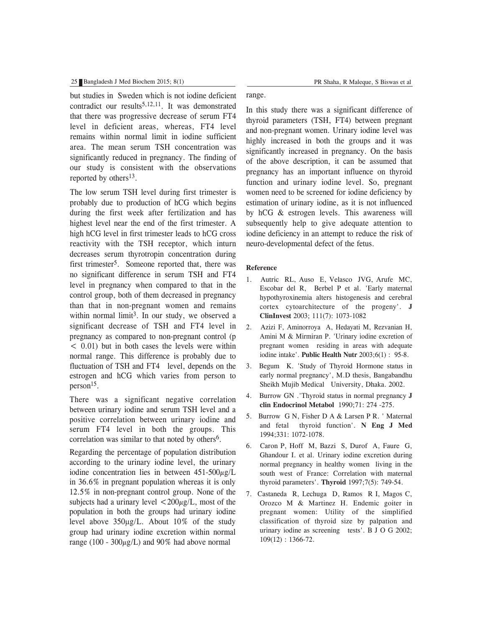#### 25 Bangladesh J Med Biochem 2015; 8(1) PR Shaha, R Maleque, S Biswas et al

but studies in Sweden which is not iodine deficient contradict our results<sup>5,12,11</sup>. It was demonstrated that there was progressive decrease of serum FT4 level in deficient areas, whereas, FT4 level remains within normal limit in iodine sufficient area. The mean serum TSH concentration was significantly reduced in pregnancy. The finding of our study is consistent with the observations reported by others<sup>13</sup>.

The low serum TSH level during first trimester is probably due to production of hCG which begins during the first week after fertilization and has highest level near the end of the first trimester. A high hCG level in first trimester leads to hCG cross reactivity with the TSH receptor, which inturn decreases serum thyrotropin concentration during first trimester<sup>5</sup>. Someone reported that, there was no significant difference in serum TSH and FT4 level in pregnancy when compared to that in the control group, both of them decreased in pregnancy than that in non-pregnant women and remains within normal limit<sup>3</sup>. In our study, we observed a significant decrease of TSH and FT4 level in pregnancy as compared to non-pregnant control (p  $<$  0.01) but in both cases the levels were within normal range. This difference is probably due to fluctuation of TSH and FT4 level, depends on the estrogen and hCG which varies from person to person15.

There was a significant negative correlation between urinary iodine and serum TSH level and a positive correlation between urinary iodine and serum FT4 level in both the groups. This correlation was similar to that noted by others<sup>6</sup>.

Regarding the percentage of population distribution according to the urinary iodine level, the urinary iodine concentration lies in between  $451-500\mu$ g/L in 36.6% in pregnant population whereas it is only 12.5% in non-pregnant control group. None of the subjects had a urinary level  $\langle 200 \mu$ g/L, most of the population in both the groups had urinary iodine level above  $350\mu g/L$ . About  $10\%$  of the study group had urinary iodine excretion within normal range (100 -  $300\mu$ g/L) and 90% had above normal

range.

In this study there was a significant difference of thyroid parameters (TSH, FT4) between pregnant and non-pregnant women. Urinary iodine level was highly increased in both the groups and it was significantly increased in pregnancy. On the basis of the above description, it can be assumed that pregnancy has an important influence on thyroid function and urinary iodine level. So, pregnant women need to be screened for iodine deficiency by estimation of urinary iodine, as it is not influenced by hCG & estrogen levels. This awareness will subsequently help to give adequate attention to iodine deficiency in an attempt to reduce the risk of neuro-developmental defect of the fetus.

#### **Reference**

- 1. Autric RL, Auso E, Velasco JVG, Arufe MC, Escobar del R, Berbel P et al. 'Early maternal hypothyroxinemia alters histogenesis and cerebral cortex cytoarchitecture of the progeny'. **J ClinInvest** 2003; 111(7): 1073-1082
- 2. Azizi F, Aminorroya A, Hedayati M, Rezvanian H, Amini M & Mirmiran P. 'Urinary iodine excretion of pregnant women residing in areas with adequate iodine intake'. **Public Health Nutr** 2003;6(1) : 95-8.
- 3. Begum K. 'Study of Thyroid Hormone status in early normal pregnancy', M.D thesis, Bangabandhu Sheikh Mujib Medical University, Dhaka. 2002.
- 4. Burrow GN .'Thyroid status in normal pregnancy **J clin Endocrinol Metabol** 1990;71: 274 -275.
- 5. Burrow G N, Fisher D A & Larsen P R. ' Maternal and fetal thyroid function'. **N Eng J Med** 1994;331: 1072-1078.
- 6. Caron P, Hoff M, Bazzi S, Durof A, Faure G, Ghandour I. et al. Urinary iodine excretion during normal pregnancy in healthy women living in the south west of France: Correlation with maternal thyroid parameters'. **Thyroid** 1997;7(5): 749-54.
- 7. Castaneda R, Lechuga D, Ramos R I, Magos C, Orozco M & Martinez H. Endemic goiter in pregnant women: Utility of the simplified classification of thyroid size by palpation and urinary iodine as screening tests'. B J O G 2002; 109(12) : 1366-72.